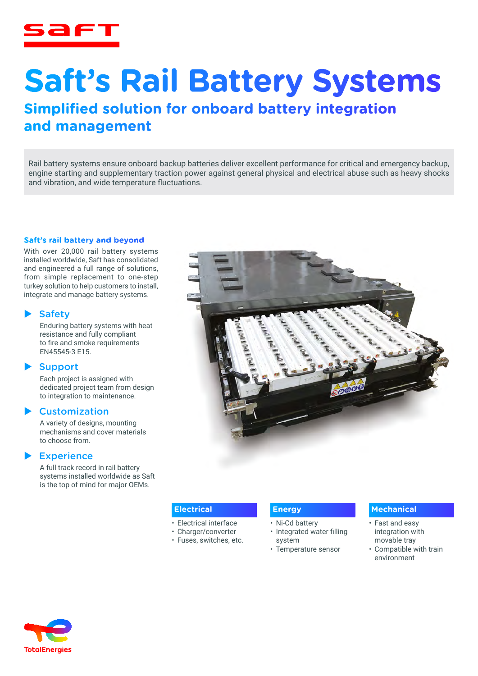

# **Saft's Rail Battery Systems**

# **Simplified solution for onboard battery integration and management**

Rail battery systems ensure onboard backup batteries deliver excellent performance for critical and emergency backup, engine starting and supplementary traction power against general physical and electrical abuse such as heavy shocks and vibration, and wide temperature fluctuations.

## **Saft's rail battery and beyond**

With over 20,000 rail battery systems installed worldwide, Saft has consolidated and engineered a full range of solutions, from simple replacement to one-step turkey solution to help customers to install, integrate and manage battery systems.

#### **Safety**

Enduring battery systems with heat resistance and fully compliant to fire and smoke requirements EN45545-3 E15.

## **Support**

Each project is assigned with dedicated project team from design to integration to maintenance.

## **Customization**

A variety of designs, mounting mechanisms and cover materials to choose from.

## $\blacktriangleright$  Experience

A full track record in rail battery systems installed worldwide as Saft is the top of mind for major OEMs.



#### **Electrical**

- Electrical interface
- Charger/converter
- Fuses, switches, etc.

# **Energy**

- Ni-Cd battery
- Integrated water filling system
- Temperature sensor

#### **Mechanical**

- Fast and easy integration with movable tray
- Compatible with train environment